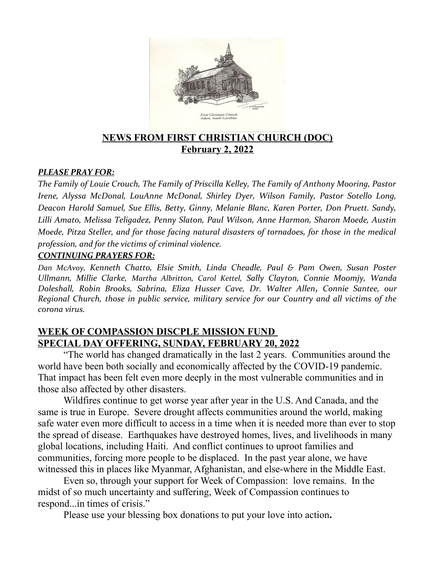

# **NEWS FROM FIRST CHRISTIAN CHURCH (DOC) February 2, 2022**

#### *PLEASE PRAY FOR:*

*The Family of Louie Crouch, The Family of Priscilla Kelley, The Family of Anthony Mooring, Pastor Irene, Alyssa McDonal, LouAnne McDonal, Shirley Dyer, Wilson Family, Pastor Sotello Long, Deacon Harold Samuel, Sue Ellis, Betty, Ginny, Melanie Blanc, Karen Porter, Don Pruett. Sandy, Lilli Amato, Melissa Teligadez, Penny Slaton, Paul Wilson, Anne Harmon, Sharon Moede, Austin Moede, Pitza Steller, and for those facing natural disasters of tornadoes, for those in the medical profession, and for the victims of criminal violence.*

#### *CONTINUING PRAYERS FOR:*

*Dan McAvoy, Kenneth Chatto, Elsie Smith, Linda Cheadle, Paul & Pam Owen, Susan Poster Ullmann, Millie Clarke, Martha Albritton, Carol Kettel, Sally Clayton, Connie Moomjy, Wanda Doleshall, Robin Brooks, Sabrina, Eliza Husser Cave, Dr. Walter Allen, Connie Santee, our Regional Church, those in public service, military service for our Country and all victims of the corona virus.* 

# **WEEK OF COMPASSION DISCPLE MISSION FUND SPECIAL DAY OFFERING, SUNDAY, FEBRUARY 20, 2022**

"The world has changed dramatically in the last 2 years. Communities around the world have been both socially and economically affected by the COVID-19 pandemic. That impact has been felt even more deeply in the most vulnerable communities and in those also affected by other disasters.

Wildfires continue to get worse year after year in the U.S. And Canada, and the same is true in Europe. Severe drought affects communities around the world, making safe water even more difficult to access in a time when it is needed more than ever to stop the spread of disease. Earthquakes have destroyed homes, lives, and livelihoods in many global locations, including Haiti. And conflict continues to uproot families and communities, forcing more people to be displaced. In the past year alone, we have witnessed this in places like Myanmar, Afghanistan, and else-where in the Middle East.

Even so, through your support for Week of Compassion: love remains. In the midst of so much uncertainty and suffering, Week of Compassion continues to respond...in times of crisis."

Please use your blessing box donations to put your love into action**.**